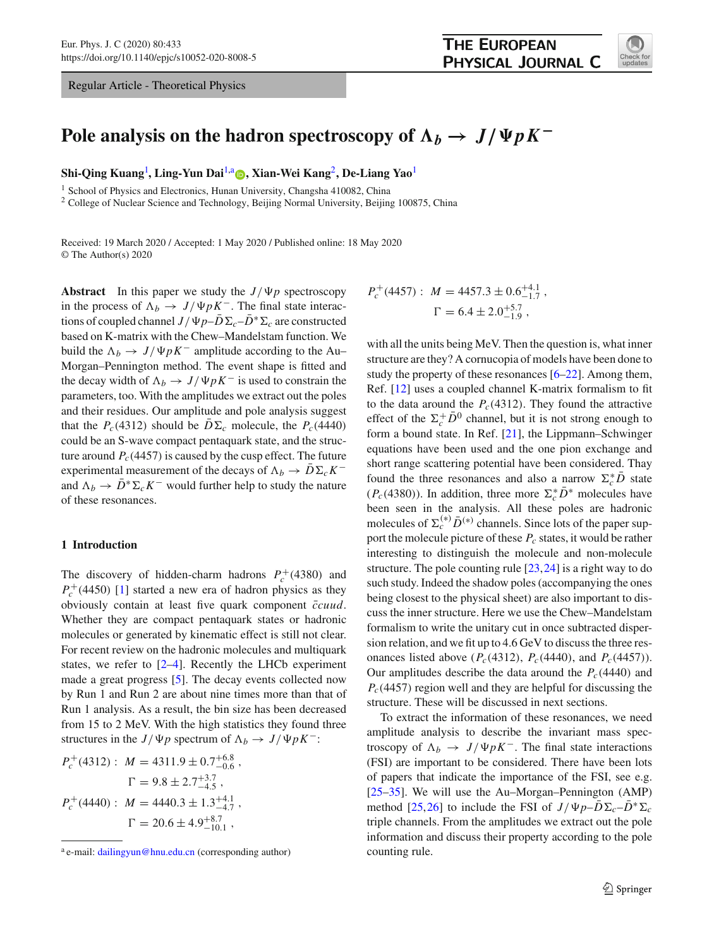Regular Article - Theoretical Physics



# Pole analysis on the hadron spectroscopy of  $\Lambda_b \to J/\Psi p K^-$

**Shi-Qing Kuang**[1](#page-0-0) **, Ling-Yun Dai**[1,](#page-0-0)a **[,](http://orcid.org/0000-0002-4070-4729) Xian-Wei Kang**[2](#page-0-0)**, De-Liang Yao**[1](#page-0-0)

<sup>1</sup> School of Physics and Electronics, Hunan University, Changsha 410082, China

<sup>2</sup> College of Nuclear Science and Technology, Beijing Normal University, Beijing 100875, China

Received: 19 March 2020 / Accepted: 1 May 2020 / Published online: 18 May 2020 © The Author(s) 2020

**Abstract** In this paper we study the  $J/\Psi p$  spectroscopy in the process of  $\Lambda_b \to J/\Psi p K^-$ . The final state interactions of coupled channel  $J/\Psi p - D\Sigma_c - D^* \Sigma_c$  are constructed based on K-matrix with the Chew–Mandelstam function. We build the  $\Lambda_b \to J/\Psi p K^-$  amplitude according to the Au– Morgan–Pennington method. The event shape is fitted and the decay width of  $\Lambda_b \to J/\Psi p K^-$  is used to constrain the parameters, too. With the amplitudes we extract out the poles and their residues. Our amplitude and pole analysis suggest that the  $P_c(4312)$  should be  $D\Sigma_c$  molecule, the  $P_c(4440)$ could be an S-wave compact pentaquark state, and the structure around  $P_c(4457)$  is caused by the cusp effect. The future experimental measurement of the decays of  $\Lambda_b \to \bar{D} \Sigma_c K^$ and  $\Lambda_b \to \bar{D}^* \Sigma_c K^-$  would further help to study the nature of these resonances.

#### **1 Introduction**

The discovery of hidden-charm hadrons  $P_c^+(4380)$  and  $P_c^+(4450)$  [\[1](#page-9-0)] started a new era of hadron physics as they obviously contain at least five quark component  $\bar{c}c u u$ . Whether they are compact pentaquark states or hadronic molecules or generated by kinematic effect is still not clear. For recent review on the hadronic molecules and multiquark states, we refer to  $[2-4]$  $[2-4]$ . Recently the LHCb experiment made a great progress [\[5](#page-9-3)]. The decay events collected now by Run 1 and Run 2 are about nine times more than that of Run 1 analysis. As a result, the bin size has been decreased from 15 to 2 MeV. With the high statistics they found three structures in the *J*/ $\Psi p$  spectrum of  $\Lambda_b \to J/\Psi p K^-$ :

$$
P_c^+(4312): M = 4311.9 \pm 0.7_{-0.6}^{+6.8},
$$
  
\n
$$
\Gamma = 9.8 \pm 2.7_{-4.5}^{+3.7},
$$
  
\n
$$
P_c^+(4440): M = 4440.3 \pm 1.3_{-4.7}^{+4.1},
$$
  
\n
$$
\Gamma = 20.6 \pm 4.9_{-10.1}^{+8.7},
$$

<span id="page-0-0"></span>
$$
P_c^+(4457): M = 4457.3 \pm 0.6^{+4.1}_{-1.7},
$$
  
\n
$$
\Gamma = 6.4 \pm 2.0^{+5.7}_{-1.9},
$$

with all the units being MeV. Then the question is, what inner structure are they? A cornucopia of models have been done to study the property of these resonances [\[6](#page-9-4)[–22\]](#page-9-5). Among them, Ref. [\[12](#page-9-6)] uses a coupled channel K-matrix formalism to fit to the data around the  $P_c(4312)$ . They found the attractive effect of the  $\Sigma_c^+ \bar{D}^0$  channel, but it is not strong enough to form a bound state. In Ref. [\[21\]](#page-9-7), the Lippmann–Schwinger equations have been used and the one pion exchange and short range scattering potential have been considered. Thay found the three resonances and also a narrow  $\Sigma_c^* D$  state ( $P_c$ (4380)). In addition, three more  $\Sigma_c^* D^*$  molecules have been seen in the analysis. All these poles are hadronic molecules of  $\Sigma_c^{(*)} \bar{D}^{(*)}$  channels. Since lots of the paper support the molecule picture of these  $P_c$  states, it would be rather interesting to distinguish the molecule and non-molecule structure. The pole counting rule  $[23,24]$  $[23,24]$  is a right way to do such study. Indeed the shadow poles (accompanying the ones being closest to the physical sheet) are also important to discuss the inner structure. Here we use the Chew–Mandelstam formalism to write the unitary cut in once subtracted dispersion relation, and we fit up to 4.6 GeV to discuss the three resonances listed above ( $P_c(4312)$ ,  $P_c(4440)$ , and  $P_c(4457)$ ). Our amplitudes describe the data around the  $P_c(4440)$  and *P<sub>c</sub>*(4457) region well and they are helpful for discussing the structure. These will be discussed in next sections.

To extract the information of these resonances, we need amplitude analysis to describe the invariant mass spectroscopy of  $\Lambda_b \to J/\Psi p K^-$ . The final state interactions (FSI) are important to be considered. There have been lots of papers that indicate the importance of the FSI, see e.g. [\[25](#page-9-10)[–35](#page-9-11)]. We will use the Au–Morgan–Pennington (AMP) method [\[25](#page-9-10)[,26](#page-9-12)] to include the FSI of  $J/\Psi p - D\Sigma_c - D^* \Sigma_c$ triple channels. From the amplitudes we extract out the pole information and discuss their property according to the pole counting rule.

<sup>&</sup>lt;sup>a</sup> e-mail: [dailingyun@hnu.edu.cn](mailto:dailingyun@hnu.edu.cn) (corresponding author)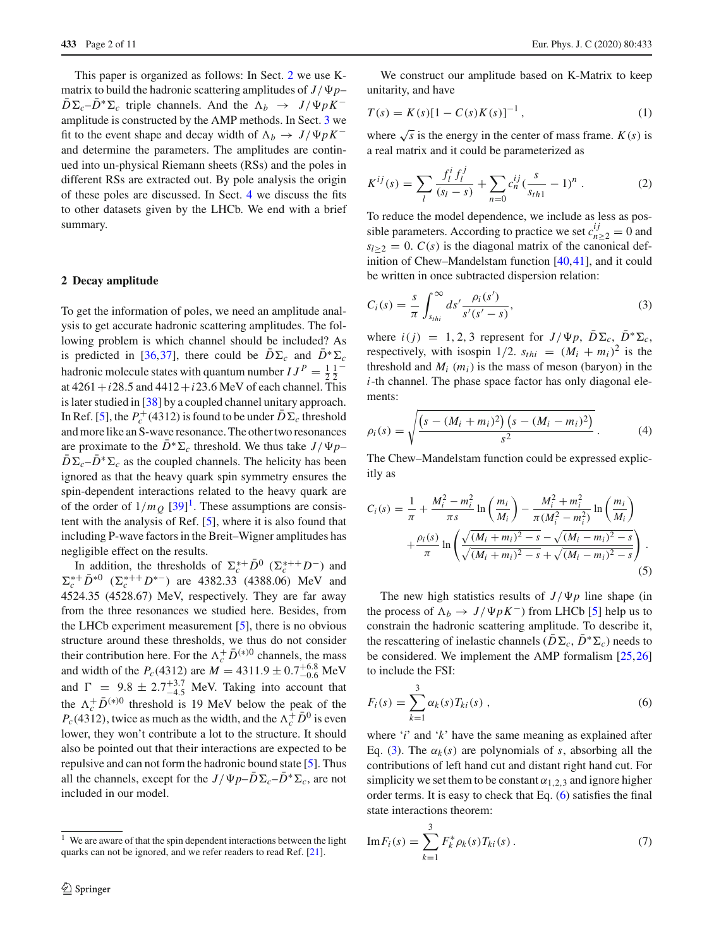This paper is organized as follows: In Sect. [2](#page-1-0) we use Kmatrix to build the hadronic scattering amplitudes of  $J/\Psi p D\Sigma_c - D^* \Sigma_c$  triple channels. And the  $\Lambda_b \to J/\Psi pK^$ amplitude is constructed by the AMP methods. In Sect. [3](#page-2-0) we fit to the event shape and decay width of  $\Lambda_b \to J/\Psi p K^$ and determine the parameters. The amplitudes are continued into un-physical Riemann sheets (RSs) and the poles in different RSs are extracted out. By pole analysis the origin of these poles are discussed. In Sect. [4](#page-3-0) we discuss the fits to other datasets given by the LHCb. We end with a brief summary.

## <span id="page-1-0"></span>**2 Decay amplitude**

To get the information of poles, we need an amplitude analysis to get accurate hadronic scattering amplitudes. The following problem is which channel should be included? As is predicted in [\[36](#page-9-13),[37\]](#page-9-14), there could be  $\overline{D}\Sigma_c$  and  $\overline{D}^*\Sigma_c$ hadronic molecule states with quantum number  $IJ^P = \frac{1}{2} \frac{1}{2}^{-1}$ at  $4261 + i28.5$  and  $4412 + i23.6$  MeV of each channel. This is later studied in [\[38\]](#page-9-15) by a coupled channel unitary approach. In Ref. [\[5\]](#page-9-3), the  $P_c^+(4312)$  is found to be under  $D\Sigma_c$  threshold and more like an S-wave resonance. The other two resonances are proximate to the  $D^* \Sigma_c$  threshold. We thus take  $J/\Psi p$ –  $\overline{D}\Sigma_c-\overline{D}^*\Sigma_c$  as the coupled channels. The helicity has been ignored as that the heavy quark spin symmetry ensures the spin-dependent interactions related to the heavy quark are of the order of  $1/m_Q$  $1/m_Q$  [\[39\]](#page-9-16)<sup>1</sup>. These assumptions are consistent with the analysis of Ref. [\[5](#page-9-3)], where it is also found that including P-wave factors in the Breit–Wigner amplitudes has negligible effect on the results.

In addition, the thresholds of  $\Sigma_c^{*+} \overline{D}^0$  ( $\Sigma_c^{*+} D^-$ ) and  $\Sigma_c^{*+} \bar{D}^{*0}$  ( $\Sigma_c^{*++} D^{*-}$ ) are 4382.33 (4388.06) MeV and 4524.35 (4528.67) MeV, respectively. They are far away from the three resonances we studied here. Besides, from the LHCb experiment measurement [\[5\]](#page-9-3), there is no obvious structure around these thresholds, we thus do not consider their contribution here. For the  $\Lambda_c^+ \bar{D}^{(*)0}$  channels, the mass and width of the  $P_c(4312)$  are  $M = 4311.9 \pm 0.7^{+6.8}_{-0.6}$  MeV and  $\Gamma = 9.8 \pm 2.7^{+3.7}_{-4.5}$  MeV. Taking into account that the  $\Lambda_c^+ \bar{D}^{(*)0}$  threshold is 19 MeV below the peak of the  $P_c(4312)$ , twice as much as the width, and the  $\Lambda_c^+ \bar{D}^0$  is even lower, they won't contribute a lot to the structure. It should also be pointed out that their interactions are expected to be repulsive and can not form the hadronic bound state [\[5\]](#page-9-3). Thus all the channels, except for the  $J/\Psi p - D\Sigma_c - D^* \Sigma_c$ , are not included in our model.

We construct our amplitude based on K-Matrix to keep unitarity, and have

$$
T(s) = K(s)[1 - C(s)K(s)]^{-1},
$$
\n(1)

where  $\sqrt{s}$  is the energy in the center of mass frame.  $K(s)$  is a real matrix and it could be parameterized as

$$
K^{ij}(s) = \sum_{l} \frac{f_l^i f_l^j}{(s_l - s)} + \sum_{n=0} c_n^{ij} \frac{(s - 1)^n}{s_{th1}} - 1)^n.
$$
 (2)

To reduce the model dependence, we include as less as possible parameters. According to practice we set  $c_{n\geq 2}^{ij} = 0$  and  $s_{l>2} = 0$ . *C(s)* is the diagonal matrix of the canonical definition of Chew–Mandelstam function [\[40](#page-9-17)[,41](#page-9-18)], and it could be written in once subtracted dispersion relation:

<span id="page-1-2"></span>
$$
C_i(s) = \frac{s}{\pi} \int_{s_{thi}}^{\infty} ds' \frac{\rho_i(s')}{s'(s'-s)},
$$
\n(3)

where  $i(j) = 1, 2, 3$  represent for  $J/\Psi p$ ,  $D\Sigma_c$ ,  $D^*\Sigma_c$ , respectively, with isospin  $1/2$ .  $s_{thi} = (M_i + m_i)^2$  is the threshold and  $M_i$  ( $m_i$ ) is the mass of meson (baryon) in the *i*-th channel. The phase space factor has only diagonal elements:

$$
\rho_i(s) = \sqrt{\frac{\left(s - (M_i + m_i)^2\right)\left(s - (M_i - m_i)^2\right)}{s^2}}.
$$
\n(4)

The Chew–Mandelstam function could be expressed explicitly as

$$
C_i(s) = \frac{1}{\pi} + \frac{M_i^2 - m_i^2}{\pi s} \ln\left(\frac{m_i}{M_i}\right) - \frac{M_i^2 + m_i^2}{\pi (M_i^2 - m_i^2)} \ln\left(\frac{m_i}{M_i}\right) + \frac{\rho_i(s)}{\pi} \ln\left(\frac{\sqrt{(M_i + m_i)^2 - s} - \sqrt{(M_i - m_i)^2 - s}}{\sqrt{(M_i + m_i)^2 - s} + \sqrt{(M_i - m_i)^2 - s}}\right).
$$
\n(5)

The new high statistics results of  $J/\Psi p$  line shape (in the process of  $\Lambda_b \to J/\Psi p K^-$ ) from LHCb [\[5](#page-9-3)] help us to constrain the hadronic scattering amplitude. To describe it, the rescattering of inelastic channels ( $\overline{D}\Sigma_c$ ,  $\overline{D}^*\Sigma_c$ ) needs to be considered. We implement the AMP formalism [\[25,](#page-9-10)[26\]](#page-9-12) to include the FSI:

<span id="page-1-3"></span>
$$
F_i(s) = \sum_{k=1}^{3} \alpha_k(s) T_{ki}(s) ,
$$
 (6)

where '*i*' and '*k*' have the same meaning as explained after Eq. [\(3\)](#page-1-2). The  $\alpha_k(s)$  are polynomials of *s*, absorbing all the contributions of left hand cut and distant right hand cut. For simplicity we set them to be constant  $\alpha_{1,2,3}$  and ignore higher order terms. It is easy to check that Eq. [\(6\)](#page-1-3) satisfies the final state interactions theorem:

<span id="page-1-4"></span>Im 
$$
F_i(s) = \sum_{k=1}^{3} F_k^* \rho_k(s) T_{ki}(s)
$$
. (7)

<span id="page-1-1"></span><sup>&</sup>lt;sup>1</sup> We are aware of that the spin dependent interactions between the light quarks can not be ignored, and we refer readers to read Ref. [\[21\]](#page-9-7).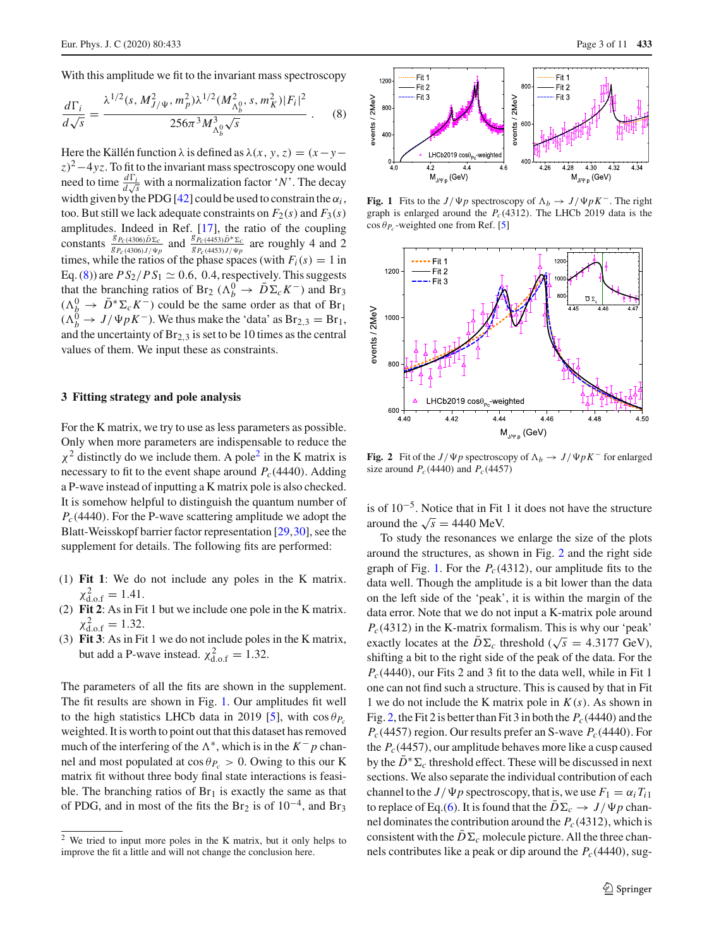With this amplitude we fit to the invariant mass spectroscopy

<span id="page-2-1"></span>
$$
\frac{d\Gamma_i}{d\sqrt{s}} = \frac{\lambda^{1/2}(s, M_{J/\Psi}^2, m_p^2)\lambda^{1/2}(M_{\Lambda_b^0}^2, s, m_K^2)|F_i|^2}{256\pi^3 M_{\Lambda_b^0}^3 \sqrt{s}}.
$$
 (8)

Here the Källén function  $\lambda$  is defined as  $\lambda(x, y, z) = (x - y - z)$  $z^2-4yz$ . To fit to the invariant mass spectroscopy one would need to time  $\frac{d\Gamma_i}{d\sqrt{s}}$  with a normalization factor '*N*'. The decay width given by the PDG [\[42](#page-9-19)] could be used to constrain the  $\alpha_i$ , too. But still we lack adequate constraints on  $F_2(s)$  and  $F_3(s)$ amplitudes. Indeed in Ref. [\[17\]](#page-9-20), the ratio of the coupling constants  $\frac{g_{P_c}(4306)\bar{D}\Sigma_c}{g_{P_c}(4306)J/\Psi_p}$  and  $\frac{g_{P_c}(4453)\bar{D}^* \Sigma_c}{g_{P_c}(4453)J/\Psi_p}$  are roughly 4 and 2 times, while the ratios of the phase spaces (with  $F_i(s) = 1$  in Eq. [\(8\)](#page-2-1)) are  $PS_2/PS_1 \simeq 0.6$ , 0.4, respectively. This suggests that the branching ratios of Br<sub>2</sub> ( $\Lambda_b^0 \to \bar{D} \Sigma_c K^-$ ) and Br<sub>3</sub>  $(\Lambda^0_R \to \bar{D}^* \Sigma_c K^-)$  could be the same order as that of Br<sub>1</sub>  $(\Lambda_b^{\overline{0}} \to J/\Psi p K^-)$ . We thus make the 'data' as Br<sub>2,3</sub> = Br<sub>1</sub>, and the uncertainty of  $Br_{2,3}$  is set to be 10 times as the central values of them. We input these as constraints.

### <span id="page-2-0"></span>**3 Fitting strategy and pole analysis**

For the K matrix, we try to use as less parameters as possible. Only when more parameters are indispensable to reduce the  $\chi^2$  distinctly do we include them. A pole<sup>2</sup> in the K matrix is necessary to fit to the event shape around  $P_c(4440)$ . Adding a P-wave instead of inputting a K matrix pole is also checked. It is somehow helpful to distinguish the quantum number of *Pc*(4440). For the P-wave scattering amplitude we adopt the Blatt-Weisskopf barrier factor representation [\[29](#page-9-21)[,30\]](#page-9-22), see the supplement for details. The following fits are performed:

- (1) **Fit 1**: We do not include any poles in the K matrix.  $\chi^2_{\rm d.o.f} = 1.41.$
- (2) **Fit 2**: As in Fit 1 but we include one pole in the K matrix.  $\chi^2_{\rm d.o.f} = 1.32$ .
- (3) **Fit 3**: As in Fit 1 we do not include poles in the K matrix, but add a P-wave instead.  $\chi^2_{\text{d.o.f}} = 1.32$ .

The parameters of all the fits are shown in the supplement. The fit results are shown in Fig. [1.](#page-2-3) Our amplitudes fit well to the high statistics LHCb data in 2019 [\[5](#page-9-3)], with  $\cos \theta_{P_c}$ weighted. It is worth to point out that this dataset has removed much of the interfering of the  $\Lambda^*$ , which is in the  $K^- p$  channel and most populated at  $\cos \theta_{P_c} > 0$ . Owing to this our K matrix fit without three body final state interactions is feasible. The branching ratios of  $Br<sub>1</sub>$  is exactly the same as that of PDG, and in most of the fits the Br<sub>2</sub> is of  $10^{-4}$ , and Br<sub>3</sub>



<span id="page-2-3"></span>**Fig. 1** Fits to the *J*/ $\Psi p$  spectroscopy of  $\Lambda_b \to J/\Psi pK^-$ . The right graph is enlarged around the  $P_c(4312)$ . The LHCb 2019 data is the  $\cos \theta_{P_c}$ -weighted one from Ref. [\[5](#page-9-3)]



<span id="page-2-4"></span>**Fig. 2** Fit of the *J*/ $\Psi p$  spectroscopy of  $\Lambda_b \to J/\Psi p K^-$  for enlarged size around  $P_c(4440)$  and  $P_c(4457)$ 

is of  $10^{-5}$ . Notice that in Fit 1 it does not have the structure around the  $\sqrt{s} = 4440$  MeV.

To study the resonances we enlarge the size of the plots around the structures, as shown in Fig. [2](#page-2-4) and the right side graph of Fig. [1.](#page-2-3) For the  $P_c(4312)$ , our amplitude fits to the data well. Though the amplitude is a bit lower than the data on the left side of the 'peak', it is within the margin of the data error. Note that we do not input a K-matrix pole around  $P_c(4312)$  in the K-matrix formalism. This is why our 'peak' exactly locates at the  $\overline{D}\Sigma_c$  threshold ( $\sqrt{s} = 4.3177$  GeV), shifting a bit to the right side of the peak of the data. For the  $P_c(4440)$ , our Fits 2 and 3 fit to the data well, while in Fit 1 one can not find such a structure. This is caused by that in Fit 1 we do not include the K matrix pole in *K*(*s*). As shown in Fig. [2,](#page-2-4) the Fit 2 is better than Fit 3 in both the *Pc*(4440) and the  $P_c(4457)$  region. Our results prefer an S-wave  $P_c(4440)$ . For the  $P_c(4457)$ , our amplitude behaves more like a cusp caused by the  $D^* \Sigma_c$  threshold effect. These will be discussed in next sections. We also separate the individual contribution of each channel to the *J*/ $\Psi p$  spectroscopy, that is, we use  $F_1 = \alpha_i T_{i1}$ to replace of Eq.[\(6\)](#page-1-3). It is found that the  $D\Sigma_c \rightarrow J/\Psi p$  channel dominates the contribution around the  $P_c(4312)$ , which is consistent with the  $D\Sigma_c$  molecule picture. All the three channels contributes like a peak or dip around the  $P_c(4440)$ , sug-

<span id="page-2-2"></span><sup>2</sup> We tried to input more poles in the K matrix, but it only helps to improve the fit a little and will not change the conclusion here.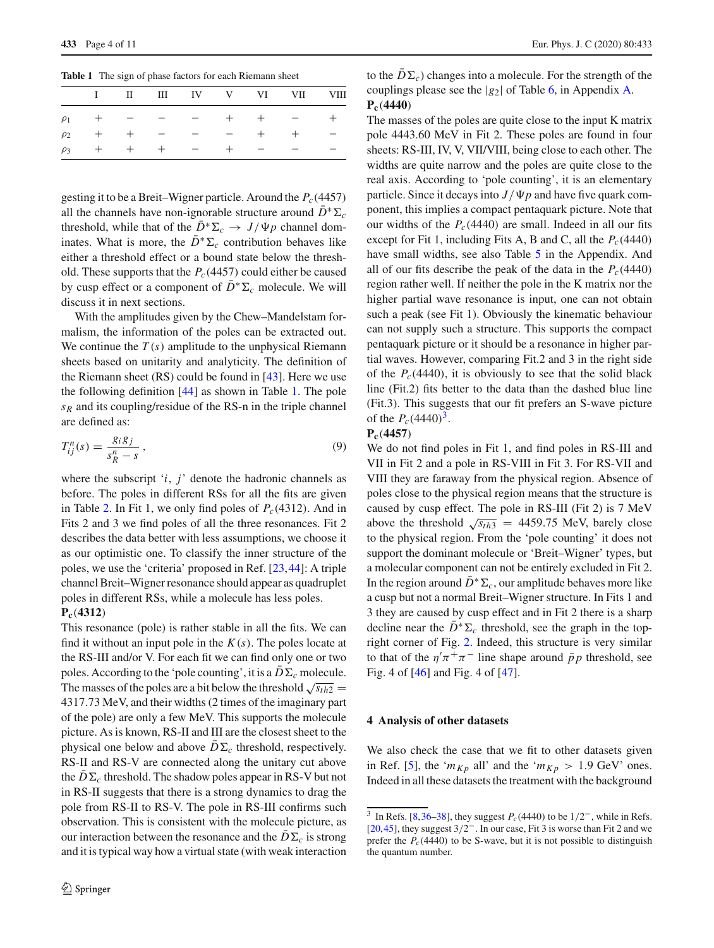<span id="page-3-1"></span>**Table 1** The sign of phase factors for each Riemann sheet

|  |  |  | I II III IV V VI VII VIII |  |
|--|--|--|---------------------------|--|
|  |  |  | $\rho_1$ + - - - + + - +  |  |
|  |  |  | $\rho_2$ + + - - - + + -  |  |
|  |  |  | $\rho_3$ + + + - + - - -  |  |

gesting it to be a Breit–Wigner particle. Around the  $P_c(4457)$ all the channels have non-ignorable structure around  $\bar{D}^* \Sigma_c$ threshold, while that of the  $D^* \Sigma_c \rightarrow J/\Psi p$  channel dominates. What is more, the  $\overline{D}^* \Sigma_c$  contribution behaves like either a threshold effect or a bound state below the threshold. These supports that the  $P_c(4457)$  could either be caused by cusp effect or a component of  $\bar{D}^* \Sigma_c$  molecule. We will discuss it in next sections.

With the amplitudes given by the Chew–Mandelstam formalism, the information of the poles can be extracted out. We continue the *T* (*s*) amplitude to the unphysical Riemann sheets based on unitarity and analyticity. The definition of the Riemann sheet (RS) could be found in [\[43](#page-10-0)]. Here we use the following definition [\[44\]](#page-10-1) as shown in Table [1.](#page-3-1) The pole *sR* and its coupling/residue of the RS-n in the triple channel are defined as:

$$
T_{ij}^n(s) = \frac{g_i g_j}{s_R^n - s},\tag{9}
$$

where the subscript '*i*, *j*' denote the hadronic channels as before. The poles in different RSs for all the fits are given in Table [2.](#page-4-0) In Fit 1, we only find poles of  $P_c(4312)$ . And in Fits 2 and 3 we find poles of all the three resonances. Fit 2 describes the data better with less assumptions, we choose it as our optimistic one. To classify the inner structure of the poles, we use the 'criteria' proposed in Ref. [\[23](#page-9-8),[44\]](#page-10-1): A triple channel Breit–Wigner resonance should appear as quadruplet poles in different RSs, while a molecule has less poles.

## **Pc**(**4312**)

This resonance (pole) is rather stable in all the fits. We can find it without an input pole in the  $K(s)$ . The poles locate at the RS-III and/or V. For each fit we can find only one or two poles. According to the 'pole counting', it is a  $D\Sigma_c$  molecule. The masses of the poles are a bit below the threshold  $\sqrt{s_{th2}}$  = 4317.73 MeV, and their widths (2 times of the imaginary part of the pole) are only a few MeV. This supports the molecule picture. As is known, RS-II and III are the closest sheet to the physical one below and above  $\overline{D}\Sigma_c$  threshold, respectively. RS-II and RS-V are connected along the unitary cut above the  $\overline{D}\Sigma_c$  threshold. The shadow poles appear in RS-V but not in RS-II suggests that there is a strong dynamics to drag the pole from RS-II to RS-V. The pole in RS-III confirms such observation. This is consistent with the molecule picture, as our interaction between the resonance and the  $D\Sigma_c$  is strong and it is typical way how a virtual state (with weak interaction

to the  $\overline{D}\Sigma_c$ ) changes into a molecule. For the strength of the couplings please see the |*g*2| of Table [6,](#page-8-0) in Appendix [A.](#page-5-0) **Pc**(**4440**)

The masses of the poles are quite close to the input K matrix pole 4443.60 MeV in Fit 2. These poles are found in four sheets: RS-III, IV, V, VII/VIII, being close to each other. The widths are quite narrow and the poles are quite close to the real axis. According to 'pole counting', it is an elementary particle. Since it decays into  $J/\Psi p$  and have five quark component, this implies a compact pentaquark picture. Note that our widths of the  $P_c(4440)$  are small. Indeed in all our fits except for Fit 1, including Fits A, B and C, all the  $P_c(4440)$ have small widths, see also Table [5](#page-7-0) in the Appendix. And all of our fits describe the peak of the data in the  $P_c(4440)$ region rather well. If neither the pole in the K matrix nor the higher partial wave resonance is input, one can not obtain such a peak (see Fit 1). Obviously the kinematic behaviour can not supply such a structure. This supports the compact pentaquark picture or it should be a resonance in higher partial waves. However, comparing Fit.2 and 3 in the right side of the  $P_c(4440)$ , it is obviously to see that the solid black line (Fit.2) fits better to the data than the dashed blue line (Fit.3). This suggests that our fit prefers an S-wave picture of the  $P_c(4440)^3$ .

## **Pc**(**4457**)

We do not find poles in Fit 1, and find poles in RS-III and VII in Fit 2 and a pole in RS-VIII in Fit 3. For RS-VII and VIII they are faraway from the physical region. Absence of poles close to the physical region means that the structure is caused by cusp effect. The pole in RS-III (Fit 2) is 7 MeV above the threshold  $\sqrt{s_{th3}}$  = 4459.75 MeV, barely close to the physical region. From the 'pole counting' it does not support the dominant molecule or 'Breit–Wigner' types, but a molecular component can not be entirely excluded in Fit 2. In the region around  $\bar{D}^* \Sigma_c$ , our amplitude behaves more like a cusp but not a normal Breit–Wigner structure. In Fits 1 and 3 they are caused by cusp effect and in Fit 2 there is a sharp decline near the  $\bar{D}^* \Sigma_c$  threshold, see the graph in the topright corner of Fig. [2.](#page-2-4) Indeed, this structure is very similar to that of the  $\eta' \pi^+ \pi^-$  line shape around  $\bar{p}p$  threshold, see Fig. 4 of [\[46\]](#page-10-2) and Fig. 4 of [\[47](#page-10-3)].

## <span id="page-3-0"></span>**4 Analysis of other datasets**

We also check the case that we fit to other datasets given in Ref. [\[5](#page-9-3)], the ' $m_{Kp}$  all' and the ' $m_{Kp} > 1.9$  GeV' ones. Indeed in all these datasets the treatment with the background

<span id="page-3-2"></span><sup>&</sup>lt;sup>3</sup> In Refs. [\[8](#page-9-23)[,36](#page-9-13)[–38\]](#page-9-15), they suggest  $P_c(4440)$  to be  $1/2^-$ , while in Refs. [\[20](#page-9-24)[,45\]](#page-10-4), they suggest 3/2<sup>−</sup>. In our case, Fit 3 is worse than Fit 2 and we prefer the  $P_c(4440)$  to be S-wave, but it is not possible to distinguish the quantum number.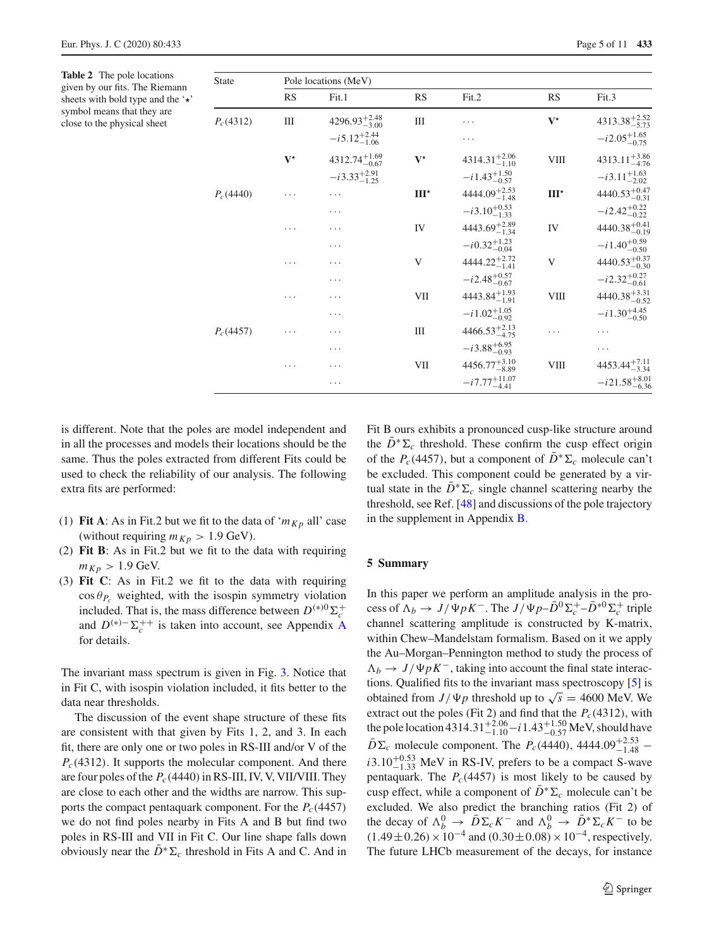<span id="page-4-0"></span>**Table 2** The pole locations given by our fits. The Riemann sheets with bold type and the  $\star$ symbol means that they are close to the physical sheet

| <b>State</b> | Pole locations (MeV) |                           |                      |                           |               |                           |  |  |
|--------------|----------------------|---------------------------|----------------------|---------------------------|---------------|---------------------------|--|--|
|              | RS                   | Fit.1                     | <b>RS</b>            | Fit.2                     | <b>RS</b>     | Fit.3                     |  |  |
| $P_c(4312)$  | Ш                    | $4296.93_{-3.00}^{+2.48}$ | Ш                    | .                         | $V^{\star}$   | $4313.38^{+2.52}_{-5.73}$ |  |  |
|              |                      | $-i5.12_{-1.06}^{+2.44}$  |                      | .                         |               | $-i2.05_{-0.75}^{+1.65}$  |  |  |
|              | $V^{\star}$          | $4312.74_{-0.67}^{+1.69}$ | $\mathbf{V}^{\star}$ | $4314.31_{-1.10}^{+2.06}$ | VIII          | $4313.11^{+3.86}_{-4.76}$ |  |  |
|              |                      | $-i3.33_{-1.25}^{+2.91}$  |                      | $-i 1.43_{-0.57}^{+1.50}$ |               | $-i3.11_{-2.02}^{+1.63}$  |  |  |
| $P_c(4440)$  | .                    | .                         | $III^{\star}$        | $4444.09_{-1.48}^{+2.53}$ | $III^{\star}$ | $4440.53_{-0.31}^{+0.47}$ |  |  |
|              |                      | .                         |                      | $-i3.10^{+0.53}_{-1.33}$  |               | $-i2.42^{+0.22}_{-0.22}$  |  |  |
|              | .                    | .                         | IV                   | $4443.69^{+2.89}_{-1.34}$ | IV            | $4440.38^{+0.41}_{-0.19}$ |  |  |
|              |                      | .                         |                      | $-i0.32^{+1.23}_{-0.04}$  |               | $-i1.40^{+0.59}_{-0.50}$  |  |  |
|              | .                    | .                         | V                    | $4444.22_{-1.41}^{+2.72}$ | V             | $4440.53_{-0.30}^{+0.37}$ |  |  |
|              |                      | $\cdots$                  |                      | $-i2.48^{+0.57}_{-0.67}$  |               | $-i2.32_{-0.61}^{+0.27}$  |  |  |
|              | .                    | .                         | VII                  | $4443.84^{+1.93}_{-1.91}$ | <b>VIII</b>   | $4440.38_{-0.52}^{+3.31}$ |  |  |
|              |                      | .                         |                      | $-i1.02_{-0.92}^{+1.05}$  |               | $-i1.30^{+4.45}_{-0.50}$  |  |  |
| $P_c(4457)$  | .                    | .                         | Ш                    | $4466.53_{-4.75}^{+2.13}$ | .             | .                         |  |  |
|              |                      | .                         |                      | $-i3.88^{+6.95}_{-0.93}$  |               | .                         |  |  |
|              | .                    | .                         | VІІ                  | $4456.77^{+3.10}_{-8.89}$ | VIII          | $4453.44_{-3.34}^{+7.11}$ |  |  |
|              |                      | $\cdots$                  |                      | $-i7.77^{+11.07}_{-4.41}$ |               | $-i21.58^{+8.01}_{-6.36}$ |  |  |

is different. Note that the poles are model independent and in all the processes and models their locations should be the same. Thus the poles extracted from different Fits could be used to check the reliability of our analysis. The following extra fits are performed:

- (1) **Fit A**: As in Fit.2 but we fit to the data of ' $m_{K_p}$  all' case (without requiring  $m_{Kp} > 1.9$  GeV).
- (2) **Fit B**: As in Fit.2 but we fit to the data with requiring  $m_{Kp} > 1.9$  GeV.
- (3) **Fit C**: As in Fit.2 we fit to the data with requiring  $\cos \theta_{P_c}$  weighted, with the isospin symmetry violation included. That is, the mass difference between  $D^{(*)0}\Sigma_c^+$ and  $D^{(*)-}\Sigma_c^{++}$  is taken into account, see [A](#page-5-0)ppendix A for details.

The invariant mass spectrum is given in Fig. [3.](#page-5-1) Notice that in Fit C, with isospin violation included, it fits better to the data near thresholds.

The discussion of the event shape structure of these fits are consistent with that given by Fits 1, 2, and 3. In each fit, there are only one or two poles in RS-III and/or V of the *Pc*(4312). It supports the molecular component. And there are four poles of the  $P_c(4440)$  in RS-III, IV, V, VII/VIII. They are close to each other and the widths are narrow. This supports the compact pentaquark component. For the  $P_c(4457)$ we do not find poles nearby in Fits A and B but find two poles in RS-III and VII in Fit C. Our line shape falls down obviously near the  $\bar{D}^* \Sigma_c$  threshold in Fits A and C. And in Fit B ours exhibits a pronounced cusp-like structure around the  $\overline{D}^* \Sigma_c$  threshold. These confirm the cusp effect origin of the  $P_c(4457)$ , but a component of  $\overline{D}^* \Sigma_c$  molecule can't be excluded. This component could be generated by a virtual state in the  $\bar{D}^* \Sigma_c$  single channel scattering nearby the threshold, see Ref. [\[48](#page-10-5)] and discussions of the pole trajectory in the supplement in Appendix [B.](#page-8-1)

#### **5 Summary**

In this paper we perform an amplitude analysis in the process of  $\Lambda_b \to J/\Psi p K^-$ . The  $J/\Psi p - \bar{D}^0 \Sigma_c^+ - \bar{D}^{*0} \Sigma_c^+$  triple channel scattering amplitude is constructed by K-matrix, within Chew–Mandelstam formalism. Based on it we apply the Au–Morgan–Pennington method to study the process of  $\Lambda_b \to J/\Psi p K^-$ , taking into account the final state interactions. Qualified fits to the invariant mass spectroscopy [\[5\]](#page-9-3) is obtained from *J*/ $\Psi p$  threshold up to  $\sqrt{s} = 4600$  MeV. We extract out the poles (Fit 2) and find that the  $P_c(4312)$ , with the pole location 4314.31<sup>+2.06</sup> − *i* 1.43<sup>+1.50</sup> MeV, should have  $\bar{D}\Sigma_c$  molecule component. The *P<sub>c</sub>*(4440), 4444.09<sup>+2.53</sup> −  $i3.10^{+0.53}_{-1.33}$  MeV in RS-IV, prefers to be a compact S-wave pentaquark. The  $P_c(4457)$  is most likely to be caused by cusp effect, while a component of  $\overline{D}^* \Sigma_c$  molecule can't be excluded. We also predict the branching ratios (Fit 2) of the decay of  $\Lambda_b^0 \to \overline{D} \Sigma_c K^-$  and  $\Lambda_b^0 \to \overline{D}^* \Sigma_c K^-$  to be  $(1.49 \pm 0.26) \times 10^{-4}$  and  $(0.30 \pm 0.08) \times 10^{-4}$ , respectively. The future LHCb measurement of the decays, for instance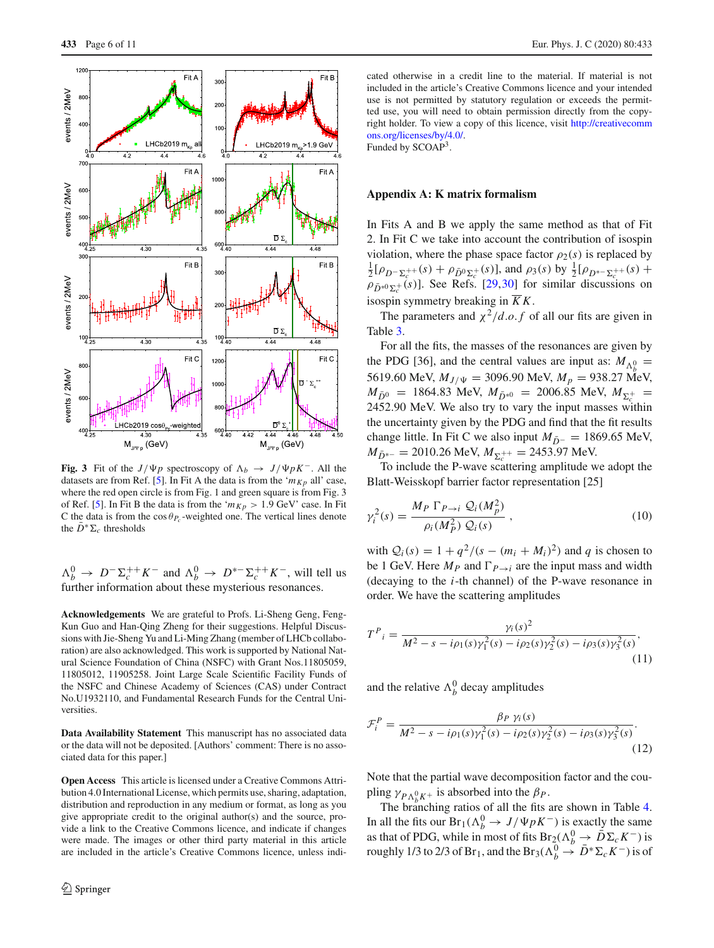

<span id="page-5-1"></span>**Fig. 3** Fit of the *J*/ $\Psi p$  spectroscopy of  $\Lambda_b \to J/\Psi p K^-$ . All the datasets are from Ref. [\[5](#page-9-3)]. In Fit A the data is from the ' $m_{Kp}$  all' case, where the red open circle is from Fig. 1 and green square is from Fig. 3 of Ref. [\[5\]](#page-9-3). In Fit B the data is from the ' $m_{Kp} > 1.9$  GeV' case. In Fit C the data is from the  $\cos \theta_{P_c}$ -weighted one. The vertical lines denote the  $\bar{D}^* \Sigma_c$  thresholds

 $\Lambda_b^0$  →  $D^- \Sigma_c^{++} K^-$  and  $\Lambda_b^0$  →  $D^{*-} \Sigma_c^{++} K^-$ , will tell us further information about these mysterious resonances.

**Acknowledgements** We are grateful to Profs. Li-Sheng Geng, Feng-Kun Guo and Han-Qing Zheng for their suggestions. Helpful Discussions with Jie-Sheng Yu and Li-Ming Zhang (member of LHCb collaboration) are also acknowledged. This work is supported by National Natural Science Foundation of China (NSFC) with Grant Nos.11805059, 11805012, 11905258. Joint Large Scale Scientific Facility Funds of the NSFC and Chinese Academy of Sciences (CAS) under Contract No.U1932110, and Fundamental Research Funds for the Central Universities.

**Data Availability Statement** This manuscript has no associated data or the data will not be deposited. [Authors' comment: There is no associated data for this paper.]

**Open Access** This article is licensed under a Creative Commons Attribution 4.0 International License, which permits use, sharing, adaptation, distribution and reproduction in any medium or format, as long as you give appropriate credit to the original author(s) and the source, provide a link to the Creative Commons licence, and indicate if changes were made. The images or other third party material in this article are included in the article's Creative Commons licence, unless indicated otherwise in a credit line to the material. If material is not included in the article's Creative Commons licence and your intended use is not permitted by statutory regulation or exceeds the permitted use, you will need to obtain permission directly from the copyright holder. To view a copy of this licence, visit [http://creativecomm](http://creativecommons.org/licenses/by/4.0/) [ons.org/licenses/by/4.0/.](http://creativecommons.org/licenses/by/4.0/)

Funded by SCOAP<sup>3</sup>.

### <span id="page-5-0"></span>**Appendix A: K matrix formalism**

In Fits A and B we apply the same method as that of Fit 2. In Fit C we take into account the contribution of isospin violation, where the phase space factor  $\rho_2(s)$  is replaced by  $\frac{1}{2} [\rho_{D^-\Sigma_c^{++}}(s) + \rho_{\bar{D}^0\Sigma_c^{+}}(s)]$ , and  $\rho_3(s)$  by  $\frac{1}{2} [\rho_{D^{*-}\Sigma_c^{++}}(s) +$  $\rho_{\bar{D}^{*0}\Sigma_c^+}(s)$ ]. See Refs. [\[29,](#page-9-21)[30\]](#page-9-22) for similar discussions on isospin symmetry breaking in  $\overline{K}K$ .

The parameters and  $\chi^2/d.o.f$  of all our fits are given in Table [3.](#page-6-0)

For all the fits, the masses of the resonances are given by the PDG [36], and the central values are input as:  $M_{\Lambda_b^0}$  = 5619.60 MeV,  $M_{J/\Psi} = 3096.90$  MeV,  $M_p = 938.27$  MeV,  $M_{\bar{D}^0}$  = 1864.83 MeV,  $M_{\bar{D}^{*0}}$  = 2006.85 MeV,  $M_{\Sigma_c^+}$  = 2452.90 MeV. We also try to vary the input masses within the uncertainty given by the PDG and find that the fit results change little. In Fit C we also input  $M_{\bar{D}^-} = 1869.65$  MeV,  $M_{\bar{D}^{*-}} = 2010.26 \text{ MeV}, M_{\Sigma_c^{++}} = 2453.97 \text{ MeV}.$ 

To include the P-wave scattering amplitude we adopt the Blatt-Weisskopf barrier factor representation [25]

$$
\gamma_i^2(s) = \frac{M_P \Gamma_{P \to i} \mathcal{Q}_i(M_p^2)}{\rho_i(M_P^2) \mathcal{Q}_i(s)} , \qquad (10)
$$

with  $Q_i(s) = 1 + q^2/(s - (m_i + M_i)^2)$  and *q* is chosen to be 1 GeV. Here  $M_P$  and  $\Gamma_{P\rightarrow i}$  are the input mass and width (decaying to the *i*-th channel) of the P-wave resonance in order. We have the scattering amplitudes

$$
T^{P}_{i} = \frac{\gamma_{i}(s)^{2}}{M^{2} - s - i\rho_{1}(s)\gamma_{1}^{2}(s) - i\rho_{2}(s)\gamma_{2}^{2}(s) - i\rho_{3}(s)\gamma_{3}^{2}(s)},
$$
\n(11)

and the relative  $\Lambda_b^0$  decay amplitudes

$$
\mathcal{F}_i^P = \frac{\beta_P \gamma_i(s)}{M^2 - s - i\rho_1(s)\gamma_1^2(s) - i\rho_2(s)\gamma_2^2(s) - i\rho_3(s)\gamma_3^2(s)}.
$$
\n(12)

Note that the partial wave decomposition factor and the coupling  $\gamma_{P\Lambda_b^0 K^+}$  is absorbed into the  $\beta_P$ .

The branching ratios of all the fits are shown in Table [4.](#page-7-1) In all the fits our Br<sub>1</sub>( $\Lambda_b^0 \rightarrow J/\Psi p K^-$ ) is exactly the same as that of PDG, while in most of fits Br<sub>2</sub>( $\Lambda_b^0 \rightarrow \overline{D} \Sigma_c K^-$ ) is roughly 1/3 to 2/3 of Br<sub>1</sub>, and the Br<sub>3</sub>( $\Lambda_b^0 \to \bar{D}^* \Sigma_c K^-$ ) is of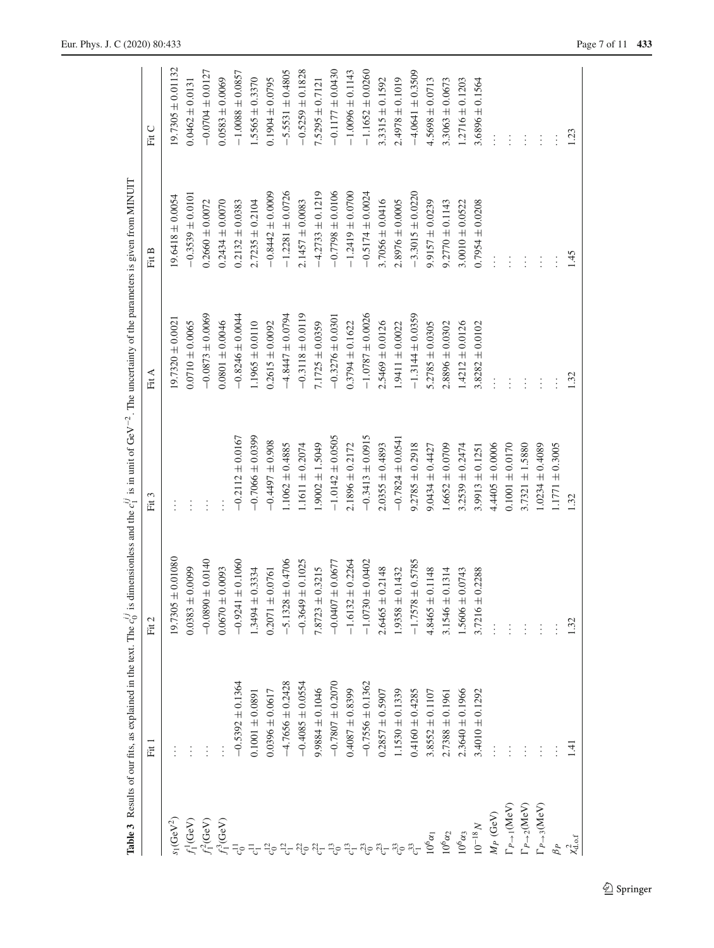|                                     | <b>Table 3</b> Results of our fits, as explained in the text. The $c_0^{ij}$ is |                           |                      | dimensionless and the $c_1^{ij}$ is in unit of GeV <sup>-2</sup> . The uncertainty of the parameters is given from MINUIT |                      |                       |
|-------------------------------------|---------------------------------------------------------------------------------|---------------------------|----------------------|---------------------------------------------------------------------------------------------------------------------------|----------------------|-----------------------|
|                                     | Fit <sup>1</sup>                                                                | Fit 2                     | Fit <sub>3</sub>     | Fit A                                                                                                                     | Fit B                | Fit C                 |
| $s_1$ (GeV <sup>2</sup> )           |                                                                                 | $\pm 0.01080$<br>19.7305  |                      | $19.7320 \pm 0.0021$                                                                                                      | $19.6418 \pm 0.0054$ | $19.7305 \pm 0.01132$ |
| $f_1^1$ (GeV)                       |                                                                                 | $0.0383 \pm 0.0099$       | $\vdots$             | $0.0710 \pm 0.0065$                                                                                                       | $-0.3539 \pm 0.0101$ | $0.0462 \pm 0.0131$   |
| $f_1^2$ (GeV)                       |                                                                                 | $\pm 0.0140$<br>$-0.0890$ |                      | $-0.0873 \pm 0.0069$                                                                                                      | $0.2660 \pm 0.0072$  | $-0.0704 \pm 0.0127$  |
| $f_1^3(\mathrm{GeV})$               |                                                                                 | $0.0670 \pm 0.0093$       |                      | $0.0801 \pm 0.0046$                                                                                                       | $0.2434 \pm 0.0070$  | $0.0583 \pm 0.0069$   |
| $c_0^{\rm 11}$                      | $-0.5392 \pm 0.1364$                                                            | $\pm 0.1060$<br>$-0.9241$ | $-0.2112 \pm 0.0167$ | $-0.8246 \pm 0.0044$                                                                                                      | $0.2132 \pm 0.0383$  | $-1.0088 \pm 0.0857$  |
|                                     | $0.1001 \pm 0.0891$                                                             | $1.3494 \pm 0.3334$       | $-0.7066 \pm 0.0399$ | $1.1965 \pm 0.0110$                                                                                                       | $2.7235 \pm 0.2104$  | $1.5565 \pm 0.3370$   |
|                                     | $0.0396 \pm 0.0617$                                                             | $0.2071 \pm 0.0761$       | $-0.4497 \pm 0.908$  | $0.2615 \pm 0.0092$                                                                                                       | $-0.8442 \pm 0.0009$ | $0.1904 \pm 0.0795$   |
|                                     | $-4.7656 \pm 0.2428$                                                            | $\pm 0.4706$<br>$-5.1328$ | $1.1062 \pm 0.4885$  | $-4.8447 \pm 0.0794$                                                                                                      | $-1.2281 \pm 0.0726$ | $-5.5531 \pm 0.4805$  |
|                                     | $-0.4085 \pm 0.0554$                                                            | $\pm 0.1025$<br>$-0.3649$ | $1.1611 \pm 0.2074$  | $-0.3118 \pm 0.0119$                                                                                                      | $2.1457 \pm 0.0083$  | $-0.5259 \pm 0.1828$  |
|                                     | $9.9884 \pm 0.1046$                                                             | $7.8723 \pm 0.3215$       | $1.9002 \pm 1.5049$  | $7.1725 \pm 0.0359$                                                                                                       | $-4.2733 \pm 0.1219$ | $7.5295 \pm 0.7121$   |
|                                     | $-0.7807 \pm 0.2070$                                                            | $+0.0677$<br>$-0.0407$    | $-1.0142 \pm 0.0505$ | $-0.3276 \pm 0.0301$                                                                                                      | $-0.7798 \pm 0.0106$ | $-0.1177 \pm 0.0430$  |
| $c_1^{13}$                          | $0.4087 \pm 0.8399$                                                             | $\pm 0.2264$<br>$-1.6132$ | $2.1896 \pm 0.2172$  | $0.3794 \pm 0.1622$                                                                                                       | $-1.2419 \pm 0.0700$ | $-1.0096 \pm 0.1143$  |
| $c_0^{\rm 23}$                      | $-0.7556 \pm 0.1362$                                                            | ± 0.0402<br>$-1.0730$     | $-0.3413 \pm 0.0915$ | $-1.0787 \pm 0.0026$                                                                                                      | $-0.5174 \pm 0.0024$ | $-1.1652 \pm 0.0260$  |
| $c_1^{\mathbf{23}}$                 | $0.2857 \pm 0.5907$                                                             | $2.6465 \pm 0.2148$       | $2.0355 \pm 0.4893$  | $2.5469 \pm 0.0126$                                                                                                       | $3.7056 \pm 0.0416$  | $3.3315 \pm 0.1592$   |
| $c_0^{33}$                          | $1.1530 \pm 0.1339$                                                             | $1.9358 \pm 0.1432$       | $-0.7824 \pm 0.0541$ | $1.9411 \pm 0.0022$                                                                                                       | $2.8976 \pm 0.0005$  | $2.4978 \pm 0.1019$   |
| $c_1^{33}$                          | $0.4160 \pm 0.4285$                                                             | $\pm 0.5785$<br>$-1.7578$ | $9.2785 \pm 0.2918$  | $-1.3144 \pm 0.0359$                                                                                                      | $-3.3015 \pm 0.0220$ | $-4.0641 \pm 0.3509$  |
| $10^6\alpha_1$                      | $3.8552 \pm 0.1107$                                                             | $4.8465 \pm 0.1148$       | $9.0434 \pm 0.4427$  | $5.2785 \pm 0.0305$                                                                                                       | $9.9157 \pm 0.0239$  | $4.5698 \pm 0.0713$   |
| $10^6 \alpha_2$                     | $2.7388 \pm 0.1961$                                                             | $3.1546 \pm 0.1314$       | $1.6652 \pm 0.0709$  | $2.8896 \pm 0.0302$                                                                                                       | $9.2770 \pm 0.1143$  | $3.3063 \pm 0.0673$   |
| $10^6\alpha_3$                      | $2.3640 \pm 0.1966$                                                             | $1.5606 \pm 0.0743$       | $3.2539 \pm 0.2474$  | $1.4212 \pm 0.0126$                                                                                                       | $3.0010 \pm 0.0522$  | $1.2716 \pm 0.1203$   |
| $10^{-18}N$                         | $3.4010 \pm 0.1292$                                                             | $3.7216 \pm 0.2288$       | $3.9913 \pm 0.1251$  | $3.8282 \pm 0.0102$                                                                                                       | $0.7954 \pm 0.0208$  | $3.6896 \pm 0.1564$   |
| $M_P$ (GeV)                         |                                                                                 |                           | $4.4405 \pm 0.0006$  |                                                                                                                           |                      |                       |
| $\Gamma_{P\rightarrow 1}(\rm{MeV})$ |                                                                                 |                           | $0.1001 \pm 0.0170$  |                                                                                                                           |                      | $\vdots$              |
| $\Gamma_{P\rightarrow2}(\rm{MeV})$  |                                                                                 |                           | $3.7321 \pm 1.5880$  | $\vdots$                                                                                                                  |                      | $\vdots$              |
| $\Gamma_{P\rightarrow 3}$ (MeV)     |                                                                                 |                           | $1.0234 \pm 0.4089$  | $\vdots$                                                                                                                  | $\vdots$             | $\vdots$              |
| $\beta_P$                           |                                                                                 |                           | $1.1771 \pm 0.3005$  |                                                                                                                           |                      |                       |
| $\chi^2_{\rm d.o.f}$                | 1.41                                                                            | 1.32                      | 1.32                 | 1.32                                                                                                                      | 1.45                 | 1.23                  |
|                                     |                                                                                 |                           |                      |                                                                                                                           |                      |                       |

<span id="page-6-0"></span> $\underline{\textcircled{\tiny 2}}$  Springer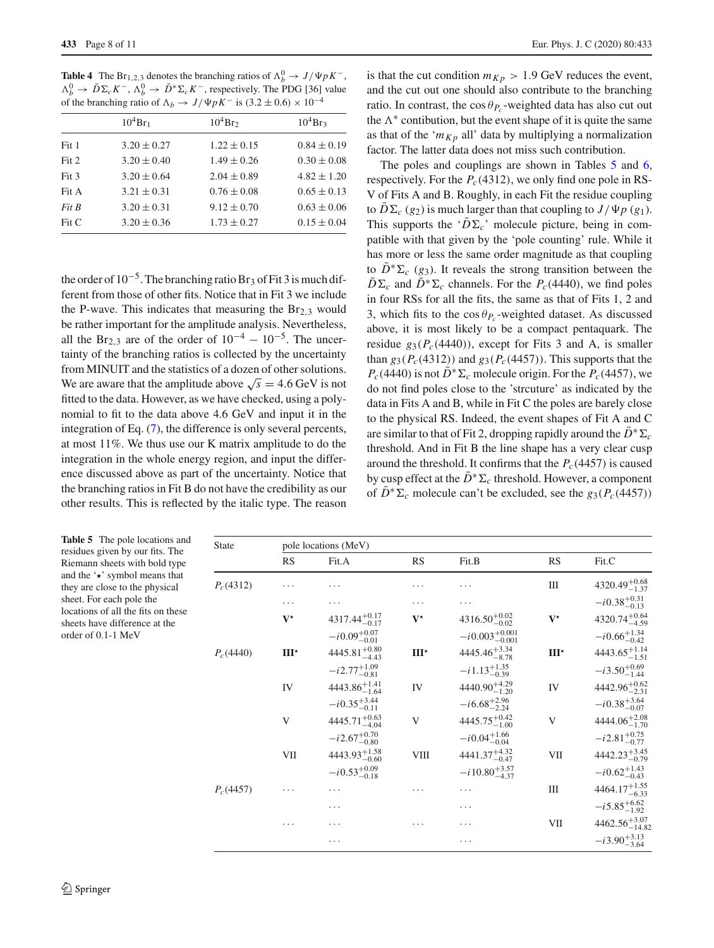<span id="page-7-1"></span>**Table 4** The Br<sub>1,2,3</sub> denotes the branching ratios of  $\Lambda_b^0 \to J/\Psi p K^-$ ,  $\Lambda_b^0$  →  $\bar{D}\Sigma_c K^-$ ,  $\Lambda_b^0$  →  $\bar{D}^*\Sigma_c K^-$ , respectively. The PDG [36] value of the branching ratio of  $\Lambda_b \to J/\Psi p K^-$  is  $(3.2 \pm 0.6) \times 10^{-4}$ 

|       | $10^4$ Br <sub>1</sub> | $10^4$ Br <sub>2</sub> | $10^4$ Br <sub>3</sub> |
|-------|------------------------|------------------------|------------------------|
| Fit 1 | $3.20 \pm 0.27$        | $1.22 \pm 0.15$        | $0.84 \pm 0.19$        |
| Fit 2 | $3.20 \pm 0.40$        | $1.49 \pm 0.26$        | $0.30 \pm 0.08$        |
| Fit 3 | $3.20 \pm 0.64$        | $2.04 \pm 0.89$        | $4.82 \pm 1.20$        |
| Fit A | $3.21 \pm 0.31$        | $0.76 \pm 0.08$        | $0.65 \pm 0.13$        |
| Fit B | $3.20 \pm 0.31$        | $9.12 \pm 0.70$        | $0.63 \pm 0.06$        |
| Fit C | $3.20 \pm 0.36$        | $1.73 \pm 0.27$        | $0.15 \pm 0.04$        |

the order of  $10^{-5}$ . The branching ratio Br<sub>3</sub> of Fit 3 is much different from those of other fits. Notice that in Fit 3 we include the P-wave. This indicates that measuring the  $Br<sub>2.3</sub>$  would be rather important for the amplitude analysis. Nevertheless, all the Br<sub>2,3</sub> are of the order of  $10^{-4} - 10^{-5}$ . The uncertainty of the branching ratios is collected by the uncertainty from MINUIT and the statistics of a dozen of other solutions. We are aware that the amplitude above  $\sqrt{s} = 4.6$  GeV is not fitted to the data. However, as we have checked, using a polynomial to fit to the data above 4.6 GeV and input it in the integration of Eq. [\(7\)](#page-1-4), the difference is only several percents, at most 11%. We thus use our K matrix amplitude to do the integration in the whole energy region, and input the difference discussed above as part of the uncertainty. Notice that the branching ratios in Fit B do not have the credibility as our other results. This is reflected by the italic type. The reason

is that the cut condition  $m_{Kp} > 1.9$  GeV reduces the event, and the cut out one should also contribute to the branching ratio. In contrast, the cos  $\theta_{P_c}$ -weighted data has also cut out the  $\Lambda^*$  contibution, but the event shape of it is quite the same as that of the ' $m_{Kp}$  all' data by multiplying a normalization factor. The latter data does not miss such contribution.

The poles and couplings are shown in Tables [5](#page-7-0) and [6,](#page-8-0) respectively. For the  $P_c(4312)$ , we only find one pole in RS-V of Fits A and B. Roughly, in each Fit the residue coupling to  $D\Sigma_c$  (*g*<sub>2</sub>) is much larger than that coupling to  $J/\Psi_p$  (*g*<sub>1</sub>). This supports the ' $\overline{D}\Sigma_c$ ' molecule picture, being in compatible with that given by the 'pole counting' rule. While it has more or less the same order magnitude as that coupling to  $\overline{D}^* \Sigma_c$  (*g*<sub>3</sub>). It reveals the strong transition between the  $\overline{D}\Sigma_c$  and  $\overline{D}^*\Sigma_c$  channels. For the *P<sub>c</sub>*(4440), we find poles in four RSs for all the fits, the same as that of Fits 1, 2 and 3, which fits to the  $\cos \theta_{P_c}$ -weighted dataset. As discussed above, it is most likely to be a compact pentaquark. The residue  $g_3(P_c(4440))$ , except for Fits 3 and A, is smaller than  $g_3(P_c(4312))$  and  $g_3(P_c(4457))$ . This supports that the  $P_c(4440)$  is not  $\bar{D}^* \Sigma_c$  molecule origin. For the  $P_c(4457)$ , we do not find poles close to the 'strcuture' as indicated by the data in Fits A and B, while in Fit C the poles are barely close to the physical RS. Indeed, the event shapes of Fit A and C are similar to that of Fit 2, dropping rapidly around the  $\bar{D}^* \Sigma_c$ threshold. And in Fit B the line shape has a very clear cusp around the threshold. It confirms that the  $P_c(4457)$  is caused by cusp effect at the  $\bar{D}^* \Sigma_c$  threshold. However, a component of  $\overline{D}^* \Sigma_c$  molecule can't be excluded, see the  $g_3(P_c(4457))$ 

<span id="page-7-0"></span>

| <b>Table 5</b> The pole locations and<br>residues given by our fits. The | State       | pole locations (MeV) |                           |               |                             |               |                            |
|--------------------------------------------------------------------------|-------------|----------------------|---------------------------|---------------|-----------------------------|---------------|----------------------------|
| Riemann sheets with bold type                                            |             | <b>RS</b>            | Fit.A                     | <b>RS</b>     | Fit.B                       | RS            | Fit.C                      |
| and the $\star$ symbol means that<br>they are close to the physical      | $P_c(4312)$ | .                    | $\cdots$                  | $\cdots$      | $\cdots$                    | Ш             | $4320.49^{+0.68}_{-1.37}$  |
| sheet. For each pole the                                                 |             | $\cdots$             | .                         | $\cdots$      | $\cdots$                    |               | $-i0.38^{+0.31}_{-0.13}$   |
| locations of all the fits on these<br>sheets have difference at the      |             | $V^{\star}$          | $4317.44^{+0.17}_{-0.17}$ | $V^{\star}$   | $4316.50^{+0.02}_{-0.02}$   | $V^{\star}$   | $4320.74_{-4.59}^{+0.64}$  |
| order of 0.1-1 MeV                                                       |             |                      | $-i0.09^{+0.07}_{-0.01}$  |               | $-i0.003_{-0.001}^{+0.001}$ |               | $-i0.66^{+1.34}_{-0.42}$   |
|                                                                          | $P_c(4440)$ | $III^{\star}$        | $4445.81^{+0.80}_{-4.43}$ | $III^{\star}$ | $4445.46^{+3.34}_{-8.78}$   | $III^{\star}$ | $4443.65^{+1.14}_{-1.51}$  |
|                                                                          |             |                      | $-i2.77^{+1.09}_{-0.81}$  |               | $-i1.13_{-0.39}^{+1.35}$    |               | $-i3.50^{+0.69}_{-1.44}$   |
|                                                                          |             | IV                   | $4443.86^{+1.41}_{-1.64}$ | IV            | $4440.90_{-1.20}^{+4.29}$   | IV            | $4442.96^{+0.62}_{-2.31}$  |
|                                                                          |             |                      | $-i0.35^{+3.44}_{-0.11}$  |               | $-i6.68^{+2.96}_{-2.24}$    |               | $-i0.38^{+3.64}_{-0.07}$   |
|                                                                          |             | V                    | $4445.71^{+0.63}_{-4.04}$ | V             | $4445.75^{+0.42}_{-1.00}$   | V             | $4444.06^{+2.08}_{-1.70}$  |
|                                                                          |             |                      | $-i2.67^{+0.70}_{-0.80}$  |               | $-i0.04_{-0.04}^{+1.66}$    |               | $-i2.81^{+0.75}_{-0.77}$   |
|                                                                          |             | VII                  | $4443.93_{-0.60}^{+1.58}$ | VIII          | $4441.37_{-0.47}^{+4.32}$   | VII           | $4442.23_{-0.79}^{+3.45}$  |
|                                                                          |             |                      | $-i0.53_{-0.18}^{+0.09}$  |               | $-i 10.80^{+3.57}_{-4.37}$  |               | $-i0.62^{+1.43}_{-0.43}$   |
|                                                                          | $P_c(4457)$ | .                    | $\cdots$                  | $\cdots$      | $\cdots$                    | Ш             | $4464.17^{+1.55}_{-6.33}$  |
|                                                                          |             |                      | $\cdots$                  |               | $\cdots$                    |               | $-i5.85^{+6.62}_{-1.92}$   |
|                                                                          |             | .                    | $\cdots$                  | $\cdots$      | $\cdots$                    | VII           | $4462.56^{+3.07}_{-14.82}$ |
|                                                                          |             |                      | $\cdots$                  |               | $\cdots$                    |               | $-i3.90^{+3.13}_{-3.64}$   |
|                                                                          |             |                      |                           |               |                             |               |                            |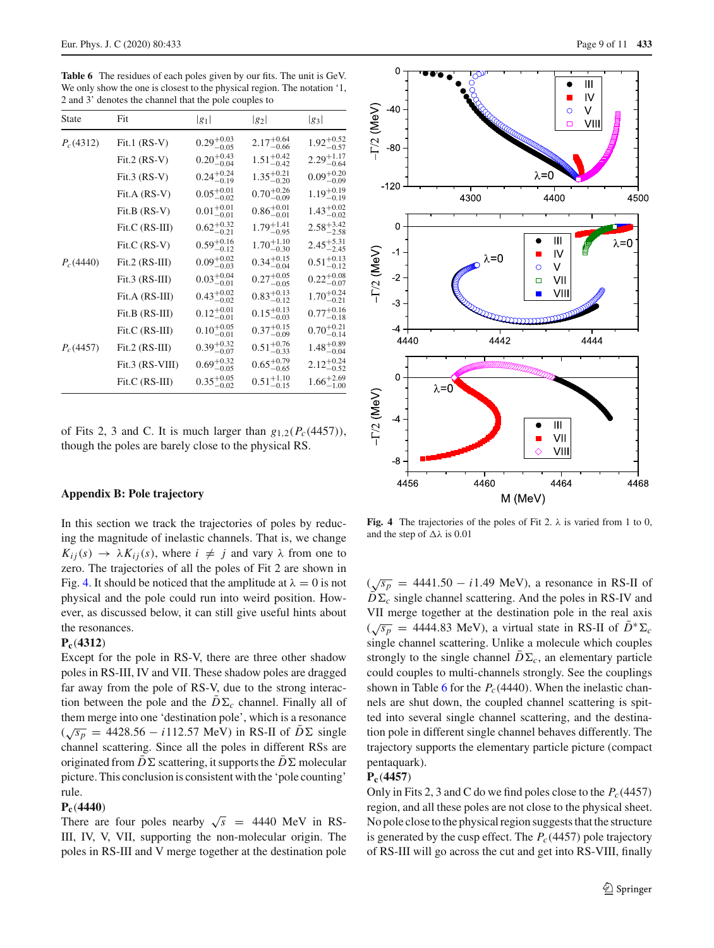<span id="page-8-0"></span>**Table 6** The residues of each poles given by our fits. The unit is GeV. We only show the one is closest to the physical region. The notation '1, 2 and 3' denotes the channel that the pole couples to

| State       | Fit              | $ g_1 $                           | $ g_2 $                           | $ g_3 $                           |
|-------------|------------------|-----------------------------------|-----------------------------------|-----------------------------------|
| $P_c(4312)$ | Fit.1 $(RS-V)$   | $0.29_{-0.05}^{+0.03}$            | $2.17^{+0.64}_{-0.66}$            | $1.92_{-0.57}^{+0.52}$            |
|             | Fit.2 (RS-V)     | $0.20^{+0.43}_{-0.04}$            | $1.51_{-0.42}^{+0.42}$            | $2.29_{-0.64}^{+1.17}$            |
|             | Fit.3 $(RS-V)$   | $0.24_{0.16}^{+0.24}$<br>$-0.19$  | $1.35_{-0.20}^{+0.21}$            | $0.09_{-0.00}^{+0.20}$<br>$-0.09$ |
|             | Fit.A (RS-V)     | $0.05_{-0.02}^{+0.01}$            | $0.70^{+0.26}_{-0.09}$            | $1.19_{-0.19}^{+0.19}$            |
|             | Fit.B (RS-V)     | $0.01_{-0.01}^{+0.01}$            | $0.86^{+0.01}_{-0.01}$            | $1.43_{-0.02}^{+0.02}$            |
|             | Fit.C (RS-III)   | $0.62^{+0.32}_{-0.21}$            | $1.79^{+1.41}_{-0.95}$            | $2.58^{+3.42}_{-2.58}$            |
|             | Fit.C (RS-V)     | $0.59_{-0.12}^{+0.16}$            | $1.70^{+1.10}_{-0.30}$            | $2.45_{-2.45}^{+5.31}$            |
| $P_c(4440)$ | $Fit.2 (RS-III)$ | $0.09_{-0.03}^{+0.02}$            | $0.34_{-0.04}^{+0.15}$            | $0.51_{-0.12}^{+0.13}$            |
|             | $Fit.3 (RS-III)$ | $0.03_{-0.01}^{+0.04}$            | $0.27^{+0.05}_{-0.05}$            | $0.22^{+0.08}_{-0.07}$            |
|             | Fit.A (RS-III)   | $0.43^{+0.02}_{-0.02}$<br>$-0.02$ | $0.83^{+0.13}_{-0.12}$            | $1.70^{+0.24}_{-0.21}$<br>$-0.21$ |
|             | Fit.B (RS-III)   | $0.12^{+0.01}_{-0.01}$            | $0.15^{+0.13}_{-0.03}$            | $0.77^{+0.16}_{-0.18}$            |
|             | Fit.C (RS-III)   | $0.10^{+0.05}_{-0.01}$            | $0.37^{+0.15}_{-0.09}$            | $0.70^{+0.21}_{-0.14}$            |
| $P_c(4457)$ | $Fit.2 (RS-III)$ | $0.39_{-0.07}^{+0.32}$            | $0.51_{-0.33}^{+0.76}$            | $1.48^{+0.89}_{-0.04}$            |
|             | Fit.3 (RS-VIII)  | $0.69^{+0.32}_{-0.05}$            | $0.65^{+0.79}_{-0.65}$            | $2.12_{-0.52}^{+0.24}$            |
|             | Fit.C (RS-III)   | $0.35_{-0.02}^{+0.05}$            | $0.51^{+1.10}_{-0.11}$<br>$-0.15$ | $1.66^{+2.69}_{-1.00}$            |

of Fits 2, 3 and C. It is much larger than  $g_{1,2}(P_c(4457))$ , though the poles are barely close to the physical RS.

#### <span id="page-8-1"></span>**Appendix B: Pole trajectory**

In this section we track the trajectories of poles by reducing the magnitude of inelastic channels. That is, we change  $K_{ij}(s) \rightarrow \lambda K_{ij}(s)$ , where  $i \neq j$  and vary  $\lambda$  from one to zero. The trajectories of all the poles of Fit 2 are shown in Fig. [4.](#page-8-2) It should be noticed that the amplitude at  $\lambda = 0$  is not physical and the pole could run into weird position. However, as discussed below, it can still give useful hints about the resonances.

#### **Pc**(**4312**)

Except for the pole in RS-V, there are three other shadow poles in RS-III, IV and VII. These shadow poles are dragged far away from the pole of RS-V, due to the strong interaction between the pole and the  $\overline{D}\Sigma_c$  channel. Finally all of them merge into one 'destination pole', which is a resonance  $(\sqrt{s_p}$  = 4428.56 − *i*112.57 MeV) in RS-II of  $\overline{D}$  ≤ single channel scattering. Since all the poles in different RSs are originated from  $D\Sigma$  scattering, it supports the  $D\Sigma$  molecular picture. This conclusion is consistent with the 'pole counting' rule.

#### **Pc**(**4440**)

There are four poles nearby  $\sqrt{s}$  = 4440 MeV in RS-III, IV, V, VII, supporting the non-molecular origin. The poles in RS-III and V merge together at the destination pole



<span id="page-8-2"></span>**Fig. 4** The trajectories of the poles of Fit 2.  $\lambda$  is varied from 1 to 0, and the step of  $\Delta\lambda$  is 0.01

 $(\sqrt{s_p} = 4441.50 - i1.49 \text{ MeV})$ , a resonance in RS-II of  $D\Sigma_c$  single channel scattering. And the poles in RS-IV and VII merge together at the destination pole in the real axis  $(\sqrt{s_p}$  = 4444.83 MeV), a virtual state in RS-II of  $\bar{D}^* \Sigma_c$ single channel scattering. Unlike a molecule which couples strongly to the single channel  $D\Sigma_c$ , an elementary particle could couples to multi-channels strongly. See the couplings shown in Table [6](#page-8-0) for the  $P_c(4440)$ . When the inelastic channels are shut down, the coupled channel scattering is spitted into several single channel scattering, and the destination pole in different single channel behaves differently. The trajectory supports the elementary particle picture (compact pentaquark).

#### **Pc**(**4457**)

Only in Fits 2, 3 and C do we find poles close to the  $P_c(4457)$ region, and all these poles are not close to the physical sheet. No pole close to the physical region suggests that the structure is generated by the cusp effect. The  $P_c(4457)$  pole trajectory of RS-III will go across the cut and get into RS-VIII, finally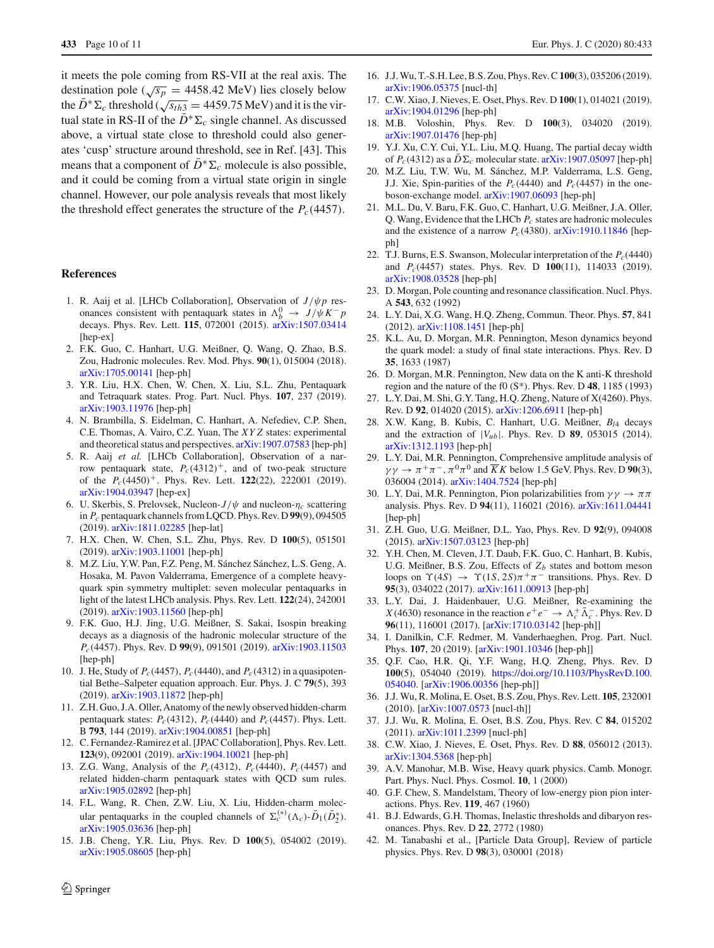it meets the pole coming from RS-VII at the real axis. The destination pole ( $\sqrt{s_p}$  = 4458.42 MeV) lies closely below the  $\bar{D}^* \Sigma_c$  threshold ( $\sqrt{s_{th3}} = 4459.75$  MeV) and it is the virtual state in RS-II of the  $\overline{D}^* \Sigma_c$  single channel. As discussed above, a virtual state close to threshold could also generates 'cusp' structure around threshold, see in Ref. [43]. This means that a component of  $\bar{D}^* \Sigma_c$  molecule is also possible, and it could be coming from a virtual state origin in single channel. However, our pole analysis reveals that most likely the threshold effect generates the structure of the  $P_c(4457)$ .

#### **References**

- <span id="page-9-0"></span>1. R. Aaij et al. [LHCb Collaboration], Observation of *J*/ψ*p* resonances consistent with pentaquark states in  $\Lambda_b^0 \to J/\psi K^- p$ decays. Phys. Rev. Lett. **115**, 072001 (2015). [arXiv:1507.03414](http://arxiv.org/abs/1507.03414) [hep-ex]
- <span id="page-9-1"></span>2. F.K. Guo, C. Hanhart, U.G. Meißner, Q. Wang, Q. Zhao, B.S. Zou, Hadronic molecules. Rev. Mod. Phys. **90**(1), 015004 (2018). [arXiv:1705.00141](http://arxiv.org/abs/1705.00141) [hep-ph]
- 3. Y.R. Liu, H.X. Chen, W. Chen, X. Liu, S.L. Zhu, Pentaquark and Tetraquark states. Prog. Part. Nucl. Phys. **107**, 237 (2019). [arXiv:1903.11976](http://arxiv.org/abs/1903.11976) [hep-ph]
- <span id="page-9-2"></span>4. N. Brambilla, S. Eidelman, C. Hanhart, A. Nefediev, C.P. Shen, C.E. Thomas, A. Vairo, C.Z. Yuan, The *XY Z* states: experimental and theoretical status and perspectives. [arXiv:1907.07583](http://arxiv.org/abs/1907.07583) [hep-ph]
- <span id="page-9-3"></span>5. R. Aaij *et al.* [LHCb Collaboration], Observation of a narrow pentaquark state,  $P_c(4312)^+$ , and of two-peak structure of the *Pc*(4450)+. Phys. Rev. Lett. **122**(22), 222001 (2019). [arXiv:1904.03947](http://arxiv.org/abs/1904.03947) [hep-ex]
- <span id="page-9-4"></span>6. U. Skerbis, S. Prelovsek, Nucleon- $J/\psi$  and nucleon- $\eta_c$  scattering in *Pc* pentaquark channels from LQCD. Phys. Rev. D **99**(9), 094505 (2019). [arXiv:1811.02285](http://arxiv.org/abs/1811.02285) [hep-lat]
- 7. H.X. Chen, W. Chen, S.L. Zhu, Phys. Rev. D **100**(5), 051501 (2019). [arXiv:1903.11001](http://arxiv.org/abs/1903.11001) [hep-ph]
- <span id="page-9-23"></span>8. M.Z. Liu, Y.W. Pan, F.Z. Peng, M. Sánchez Sánchez, L.S. Geng, A. Hosaka, M. Pavon Valderrama, Emergence of a complete heavyquark spin symmetry multiplet: seven molecular pentaquarks in light of the latest LHCb analysis. Phys. Rev. Lett. **122**(24), 242001 (2019). [arXiv:1903.11560](http://arxiv.org/abs/1903.11560) [hep-ph]
- 9. F.K. Guo, H.J. Jing, U.G. Meißner, S. Sakai, Isospin breaking decays as a diagnosis of the hadronic molecular structure of the *Pc*(4457). Phys. Rev. D **99**(9), 091501 (2019). [arXiv:1903.11503](http://arxiv.org/abs/1903.11503) [hep-ph]
- 10. J. He, Study of *Pc*(4457), *Pc*(4440), and *Pc*(4312) in a quasipotential Bethe–Salpeter equation approach. Eur. Phys. J. C **79**(5), 393 (2019). [arXiv:1903.11872](http://arxiv.org/abs/1903.11872) [hep-ph]
- 11. Z.H. Guo, J.A. Oller, Anatomy of the newly observed hidden-charm pentaquark states:  $P_c(4312)$ ,  $P_c(4440)$  and  $P_c(4457)$ . Phys. Lett. B **793**, 144 (2019). [arXiv:1904.00851](http://arxiv.org/abs/1904.00851) [hep-ph]
- <span id="page-9-6"></span>12. C. Fernandez-Ramirez et al. [JPAC Collaboration], Phys. Rev. Lett. **123**(9), 092001 (2019). [arXiv:1904.10021](http://arxiv.org/abs/1904.10021) [hep-ph]
- 13. Z.G. Wang, Analysis of the *Pc*(4312), *Pc*(4440), *Pc*(4457) and related hidden-charm pentaquark states with QCD sum rules. [arXiv:1905.02892](http://arxiv.org/abs/1905.02892) [hep-ph]
- 14. F.L. Wang, R. Chen, Z.W. Liu, X. Liu, Hidden-charm molecular pentaquarks in the coupled channels of  $\Sigma_c^{(*)}(\Lambda_c)$ - $\bar{D}_1(\bar{D}_2^*)$ . [arXiv:1905.03636](http://arxiv.org/abs/1905.03636) [hep-ph]
- 15. J.B. Cheng, Y.R. Liu, Phys. Rev. D **100**(5), 054002 (2019). [arXiv:1905.08605](http://arxiv.org/abs/1905.08605) [hep-ph]
- 
- 16. J.J. Wu, T.-S.H. Lee, B.S. Zou, Phys. Rev. C**100**(3), 035206 (2019). [arXiv:1906.05375](http://arxiv.org/abs/1906.05375) [nucl-th]
- <span id="page-9-20"></span>17. C.W. Xiao, J. Nieves, E. Oset, Phys. Rev. D **100**(1), 014021 (2019). [arXiv:1904.01296](http://arxiv.org/abs/1904.01296) [hep-ph]
- 18. M.B. Voloshin, Phys. Rev. D **100**(3), 034020 (2019). [arXiv:1907.01476](http://arxiv.org/abs/1907.01476) [hep-ph]
- 19. Y.J. Xu, C.Y. Cui, Y.L. Liu, M.Q. Huang, The partial decay width of  $P_c(4312)$  as a  $D\Sigma_c$  molecular state. [arXiv:1907.05097](http://arxiv.org/abs/1907.05097) [hep-ph]
- <span id="page-9-24"></span>20. M.Z. Liu, T.W. Wu, M. Sánchez, M.P. Valderrama, L.S. Geng, J.J. Xie, Spin-parities of the  $P_c(4440)$  and  $P_c(4457)$  in the oneboson-exchange model. [arXiv:1907.06093](http://arxiv.org/abs/1907.06093) [hep-ph]
- <span id="page-9-7"></span>21. M.L. Du, V. Baru, F.K. Guo, C. Hanhart, U.G. Meißner, J.A. Oller, Q. Wang, Evidence that the LHCb *Pc* states are hadronic molecules and the existence of a narrow  $P_c(4380)$ . [arXiv:1910.11846](http://arxiv.org/abs/1910.11846) [hepph]
- <span id="page-9-5"></span>22. T.J. Burns, E.S. Swanson, Molecular interpretation of the  $P_c(4440)$ and *Pc*(4457) states. Phys. Rev. D **100**(11), 114033 (2019). [arXiv:1908.03528](http://arxiv.org/abs/1908.03528) [hep-ph]
- <span id="page-9-8"></span>23. D. Morgan, Pole counting and resonance classification. Nucl. Phys. A **543**, 632 (1992)
- <span id="page-9-9"></span>24. L.Y. Dai, X.G. Wang, H.Q. Zheng, Commun. Theor. Phys. **57**, 841 (2012). [arXiv:1108.1451](http://arxiv.org/abs/1108.1451) [hep-ph]
- <span id="page-9-10"></span>25. K.L. Au, D. Morgan, M.R. Pennington, Meson dynamics beyond the quark model: a study of final state interactions. Phys. Rev. D **35**, 1633 (1987)
- <span id="page-9-12"></span>26. D. Morgan, M.R. Pennington, New data on the K anti-K threshold region and the nature of the f0 (S\*). Phys. Rev. D **48**, 1185 (1993)
- 27. L.Y. Dai, M. Shi, G.Y. Tang, H.Q. Zheng, Nature of X(4260). Phys. Rev. D **92**, 014020 (2015). [arXiv:1206.6911](http://arxiv.org/abs/1206.6911) [hep-ph]
- 28. X.W. Kang, B. Kubis, C. Hanhart, U.G. Meißner, *Bl*<sup>4</sup> decays and the extraction of  $|V_{ub}|$ . Phys. Rev. D **89**, 053015 (2014). [arXiv:1312.1193](http://arxiv.org/abs/1312.1193) [hep-ph]
- <span id="page-9-21"></span>29. L.Y. Dai, M.R. Pennington, Comprehensive amplitude analysis of  $\gamma \gamma \rightarrow \pi^+ \pi^-$ ,  $\pi^0 \pi^0$  and  $\overline{K} K$  below 1.5 GeV. Phys. Rev. D 90(3), 036004 (2014). [arXiv:1404.7524](http://arxiv.org/abs/1404.7524) [hep-ph]
- <span id="page-9-22"></span>30. L.Y. Dai, M.R. Pennington, Pion polarizabilities from  $\gamma \gamma \rightarrow \pi \pi$ analysis. Phys. Rev. D **94**(11), 116021 (2016). [arXiv:1611.04441](http://arxiv.org/abs/1611.04441) [hep-ph]
- 31. Z.H. Guo, U.G. Meißner, D.L. Yao, Phys. Rev. D **92**(9), 094008 (2015). [arXiv:1507.03123](http://arxiv.org/abs/1507.03123) [hep-ph]
- 32. Y.H. Chen, M. Cleven, J.T. Daub, F.K. Guo, C. Hanhart, B. Kubis, U.G. Meißner, B.S. Zou, Effects of  $Z_b$  states and bottom meson loops on  $\Upsilon(4S) \rightarrow \Upsilon(1S, 2S)\pi^+\pi^-$  transitions. Phys. Rev. D **95**(3), 034022 (2017). [arXiv:1611.00913](http://arxiv.org/abs/1611.00913) [hep-ph]
- 33. L.Y. Dai, J. Haidenbauer, U.G. Meißner, Re-examining the *X*(4630) resonance in the reaction  $e^+e^- \rightarrow \Lambda_c^+ \Lambda_c^-$ . Phys. Rev. D **96**(11), 116001 (2017). [\[arXiv:1710.03142](http://arxiv.org/abs/1710.03142) [hep-ph]]
- 34. I. Danilkin, C.F. Redmer, M. Vanderhaeghen, Prog. Part. Nucl. Phys. **107**, 20 (2019). [\[arXiv:1901.10346](http://arxiv.org/abs/1901.10346) [hep-ph]]
- <span id="page-9-11"></span>35. Q.F. Cao, H.R. Qi, Y.F. Wang, H.Q. Zheng, Phys. Rev. D **100**(5), 054040 (2019). [https://doi.org/10.1103/PhysRevD.100.](https://doi.org/10.1103/PhysRevD.100.054040) [054040.](https://doi.org/10.1103/PhysRevD.100.054040) [\[arXiv:1906.00356](http://arxiv.org/abs/1906.00356) [hep-ph]]
- <span id="page-9-13"></span>36. J.J. Wu, R. Molina, E. Oset, B.S. Zou, Phys. Rev. Lett. **105**, 232001 (2010). [\[arXiv:1007.0573](http://arxiv.org/abs/1007.0573) [nucl-th]]
- <span id="page-9-14"></span>37. J.J. Wu, R. Molina, E. Oset, B.S. Zou, Phys. Rev. C **84**, 015202 (2011). [arXiv:1011.2399](http://arxiv.org/abs/1011.2399) [nucl-ph]
- <span id="page-9-15"></span>38. C.W. Xiao, J. Nieves, E. Oset, Phys. Rev. D **88**, 056012 (2013). [arXiv:1304.5368](http://arxiv.org/abs/1304.5368) [hep-ph]
- <span id="page-9-16"></span>39. A.V. Manohar, M.B. Wise, Heavy quark physics. Camb. Monogr. Part. Phys. Nucl. Phys. Cosmol. **10**, 1 (2000)
- <span id="page-9-17"></span>40. G.F. Chew, S. Mandelstam, Theory of low-energy pion pion interactions. Phys. Rev. **119**, 467 (1960)
- <span id="page-9-18"></span>41. B.J. Edwards, G.H. Thomas, Inelastic thresholds and dibaryon resonances. Phys. Rev. D **22**, 2772 (1980)
- <span id="page-9-19"></span>42. M. Tanabashi et al., [Particle Data Group], Review of particle physics. Phys. Rev. D **98**(3), 030001 (2018)